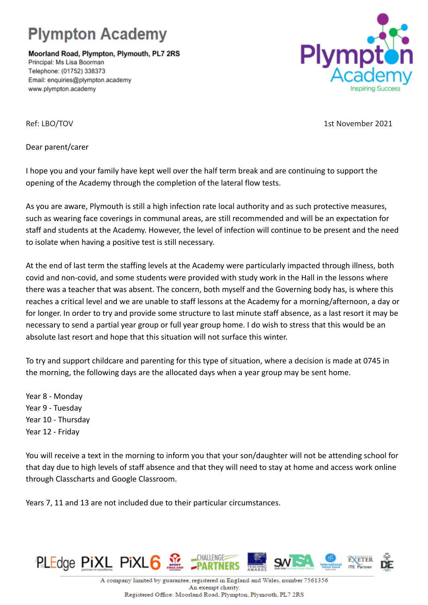## **Plympton Academy**

Moorland Road, Plympton, Plymouth, PL7 2RS Principal: Ms Lisa Boorman Telephone: (01752) 338373 Email: enquiries@plympton.academy www.plympton.academy



Ref: LBO/TOV 15t November 2021

Dear parent/carer

I hope you and your family have kept well over the half term break and are continuing to support the opening of the Academy through the completion of the lateral flow tests.

As you are aware, Plymouth is still a high infection rate local authority and as such protective measures, such as wearing face coverings in communal areas, are still recommended and will be an expectation for staff and students at the Academy. However, the level of infection will continue to be present and the need to isolate when having a positive test is still necessary.

At the end of last term the staffing levels at the Academy were particularly impacted through illness, both covid and non-covid, and some students were provided with study work in the Hall in the lessons where there was a teacher that was absent. The concern, both myself and the Governing body has, is where this reaches a critical level and we are unable to staff lessons at the Academy for a morning/afternoon, a day or for longer. In order to try and provide some structure to last minute staff absence, as a last resort it may be necessary to send a partial year group or full year group home. I do wish to stress that this would be an absolute last resort and hope that this situation will not surface this winter.

To try and support childcare and parenting for this type of situation, where a decision is made at 0745 in the morning, the following days are the allocated days when a year group may be sent home.

Year 8 - Monday Year 9 - Tuesday Year 10 - Thursday Year 12 - Friday

You will receive a text in the morning to inform you that your son/daughter will not be attending school for that day due to high levels of staff absence and that they will need to stay at home and access work online through Classcharts and Google Classroom.

Years 7, 11 and 13 are not included due to their particular circumstances.